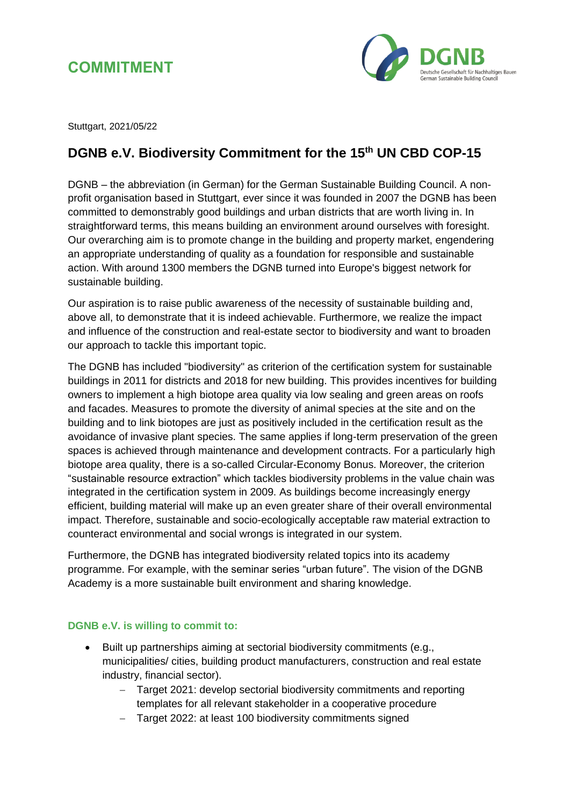



Stuttgart, 2021/05/22

## **DGNB e.V. Biodiversity Commitment for the 15th UN CBD COP-15**

DGNB – the abbreviation (in German) for the German Sustainable Building Council. A nonprofit organisation based in Stuttgart, ever since it was founded in 2007 the DGNB has been committed to demonstrably good buildings and urban districts that are worth living in. In straightforward terms, this means building an environment around ourselves with foresight. Our overarching aim is to promote change in the building and property market, engendering an appropriate understanding of quality as a foundation for responsible and sustainable action. With around 1300 members the DGNB turned into Europe's biggest network for sustainable building.

Our aspiration is to raise public awareness of the necessity of sustainable building and, above all, to demonstrate that it is indeed achievable. Furthermore, we realize the impact and influence of the construction and real-estate sector to biodiversity and want to broaden our approach to tackle this important topic.

The DGNB has included "biodiversity" as criterion of the certification system for sustainable buildings in 2011 for districts and 2018 for new building. This provides incentives for building owners to implement a high biotope area quality via low sealing and green areas on roofs and facades. Measures to promote the diversity of animal species at the site and on the building and to link biotopes are just as positively included in the certification result as the avoidance of invasive plant species. The same applies if long-term preservation of the green spaces is achieved through maintenance and development contracts. For a particularly high biotope area quality, there is a so-called Circular-Economy Bonus. Moreover, the criterion "sustainable resource extraction" which tackles biodiversity problems in the value chain was integrated in the certification system in 2009. As buildings become increasingly energy efficient, building material will make up an even greater share of their overall environmental impact. Therefore, sustainable and socio-ecologically acceptable raw material extraction to counteract environmental and social wrongs is integrated in our system.

Furthermore, the DGNB has integrated biodiversity related topics into its academy programme. For example, with the seminar series "urban future". The vision of the DGNB Academy is a more sustainable built environment and sharing knowledge.

## **DGNB e.V. is willing to commit to:**

- Built up partnerships aiming at sectorial biodiversity commitments (e.g., municipalities/ cities, building product manufacturers, construction and real estate industry, financial sector).
	- − Target 2021: develop sectorial biodiversity commitments and reporting templates for all relevant stakeholder in a cooperative procedure
	- − Target 2022: at least 100 biodiversity commitments signed